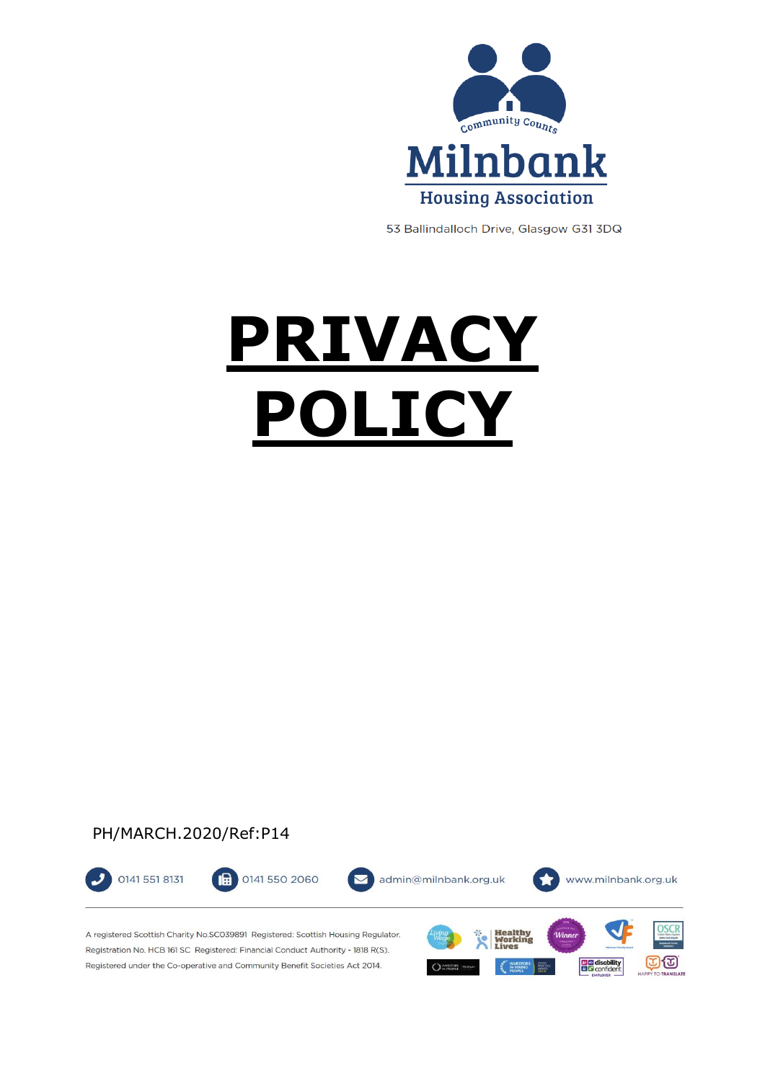

53 Ballindalloch Drive, Glasgow G31 3DQ

# **PRIVACY POLICY**

## PH/MARCH.2020/Ref:P14



A registered Scottish Charity No.SCO39891 Registered: Scottish Housing Regulator. Registration No. HCB 161 SC Registered: Financial Conduct Authority - 1818 R(S). Registered under the Co-operative and Community Benefit Societies Act 2014.

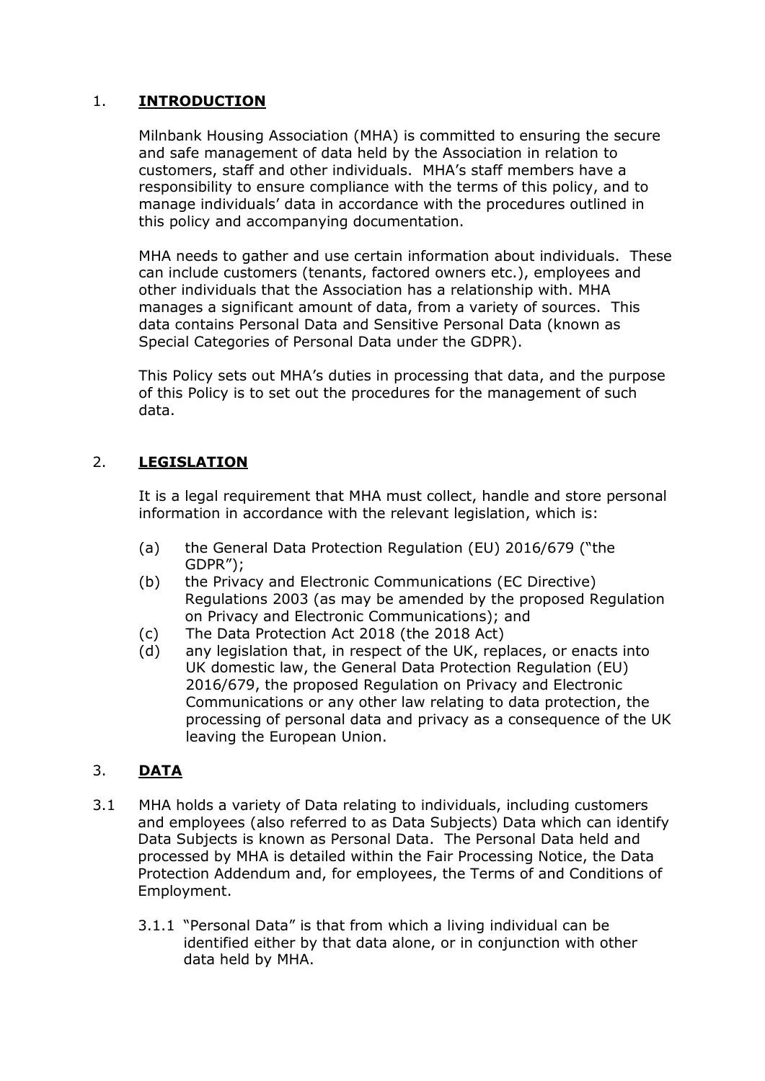## 1. **INTRODUCTION**

Milnbank Housing Association (MHA) is committed to ensuring the secure and safe management of data held by the Association in relation to customers, staff and other individuals. MHA's staff members have a responsibility to ensure compliance with the terms of this policy, and to manage individuals' data in accordance with the procedures outlined in this policy and accompanying documentation.

MHA needs to gather and use certain information about individuals. These can include customers (tenants, factored owners etc.), employees and other individuals that the Association has a relationship with. MHA manages a significant amount of data, from a variety of sources. This data contains Personal Data and Sensitive Personal Data (known as Special Categories of Personal Data under the GDPR).

This Policy sets out MHA's duties in processing that data, and the purpose of this Policy is to set out the procedures for the management of such data.

## 2. **LEGISLATION**

It is a legal requirement that MHA must collect, handle and store personal information in accordance with the relevant legislation, which is:

- (a) the General Data Protection Regulation (EU) 2016/679 ("the GDPR");
- (b) the Privacy and Electronic Communications (EC Directive) Regulations 2003 (as may be amended by the proposed Regulation on Privacy and Electronic Communications); and
- (c) The Data Protection Act 2018 (the 2018 Act)
- (d) any legislation that, in respect of the UK, replaces, or enacts into UK domestic law, the General Data Protection Regulation (EU) 2016/679, the proposed Regulation on Privacy and Electronic Communications or any other law relating to data protection, the processing of personal data and privacy as a consequence of the UK leaving the European Union.

## 3. **DATA**

- 3.1 MHA holds a variety of Data relating to individuals, including customers and employees (also referred to as Data Subjects) Data which can identify Data Subjects is known as Personal Data. The Personal Data held and processed by MHA is detailed within the Fair Processing Notice, the Data Protection Addendum and, for employees, the Terms of and Conditions of Employment.
	- 3.1.1 "Personal Data" is that from which a living individual can be identified either by that data alone, or in conjunction with other data held by MHA.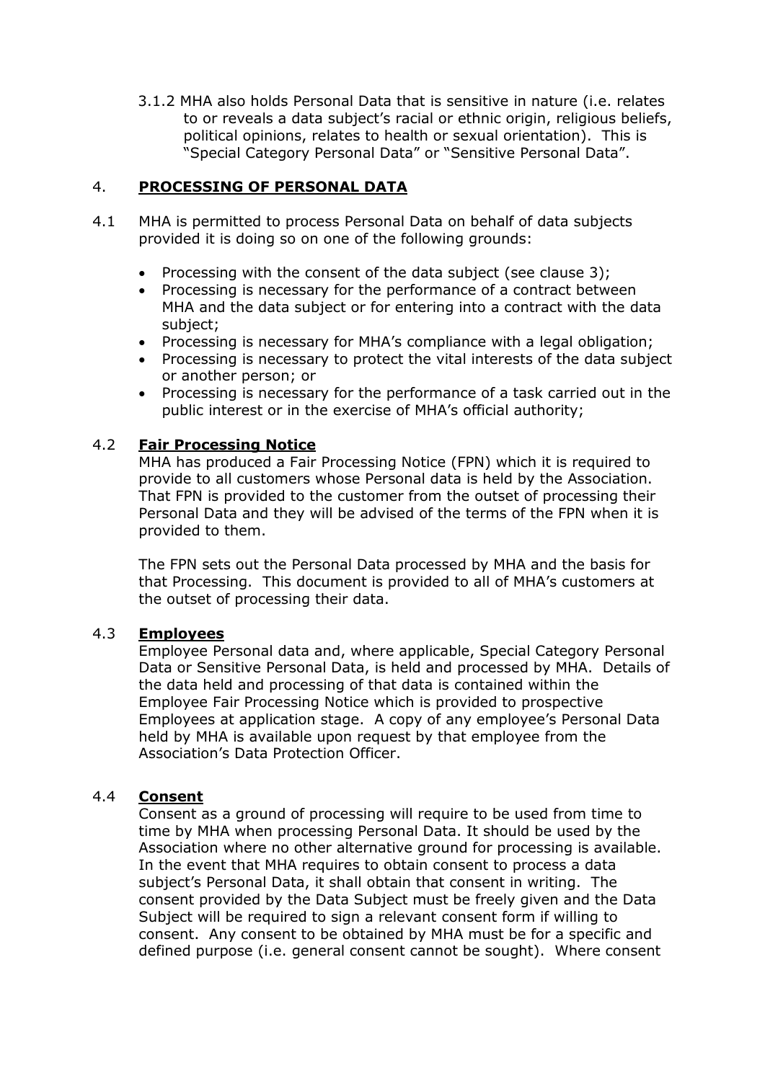3.1.2 MHA also holds Personal Data that is sensitive in nature (i.e. relates to or reveals a data subject's racial or ethnic origin, religious beliefs, political opinions, relates to health or sexual orientation). This is "Special Category Personal Data" or "Sensitive Personal Data".

## 4. **PROCESSING OF PERSONAL DATA**

- 4.1 MHA is permitted to process Personal Data on behalf of data subjects provided it is doing so on one of the following grounds:
	- Processing with the consent of the data subject (see clause 3);
	- Processing is necessary for the performance of a contract between MHA and the data subject or for entering into a contract with the data subject;
	- Processing is necessary for MHA's compliance with a legal obligation;
	- Processing is necessary to protect the vital interests of the data subject or another person; or
	- Processing is necessary for the performance of a task carried out in the public interest or in the exercise of MHA's official authority;

#### 4.2 **Fair Processing Notice**

MHA has produced a Fair Processing Notice (FPN) which it is required to provide to all customers whose Personal data is held by the Association. That FPN is provided to the customer from the outset of processing their Personal Data and they will be advised of the terms of the FPN when it is provided to them.

The FPN sets out the Personal Data processed by MHA and the basis for that Processing. This document is provided to all of MHA's customers at the outset of processing their data.

#### 4.3 **Employees**

Employee Personal data and, where applicable, Special Category Personal Data or Sensitive Personal Data, is held and processed by MHA. Details of the data held and processing of that data is contained within the Employee Fair Processing Notice which is provided to prospective Employees at application stage. A copy of any employee's Personal Data held by MHA is available upon request by that employee from the Association's Data Protection Officer.

#### 4.4 **Consent**

Consent as a ground of processing will require to be used from time to time by MHA when processing Personal Data. It should be used by the Association where no other alternative ground for processing is available. In the event that MHA requires to obtain consent to process a data subject's Personal Data, it shall obtain that consent in writing. The consent provided by the Data Subject must be freely given and the Data Subject will be required to sign a relevant consent form if willing to consent. Any consent to be obtained by MHA must be for a specific and defined purpose (i.e. general consent cannot be sought). Where consent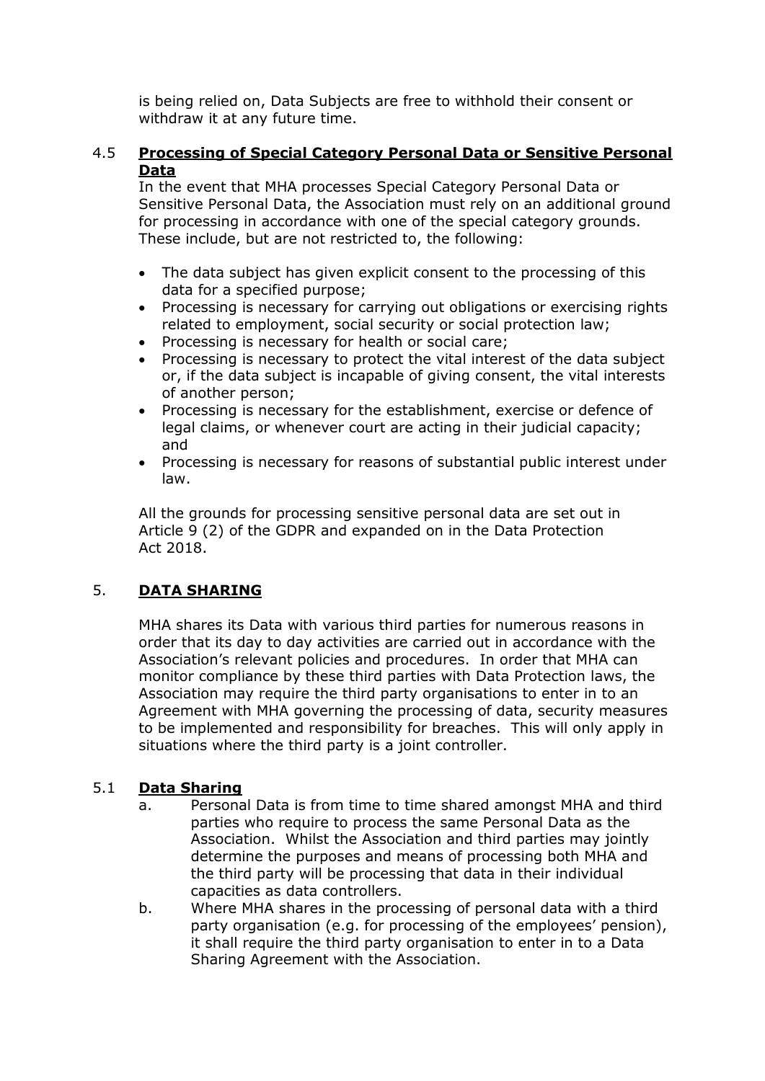is being relied on, Data Subjects are free to withhold their consent or withdraw it at any future time.

#### 4.5 **Processing of Special Category Personal Data or Sensitive Personal Data**

In the event that MHA processes Special Category Personal Data or Sensitive Personal Data, the Association must rely on an additional ground for processing in accordance with one of the special category grounds. These include, but are not restricted to, the following:

- The data subject has given explicit consent to the processing of this data for a specified purpose;
- Processing is necessary for carrying out obligations or exercising rights related to employment, social security or social protection law;
- Processing is necessary for health or social care;
- Processing is necessary to protect the vital interest of the data subject or, if the data subject is incapable of giving consent, the vital interests of another person;
- Processing is necessary for the establishment, exercise or defence of legal claims, or whenever court are acting in their judicial capacity; and
- Processing is necessary for reasons of substantial public interest under law.

All the grounds for processing sensitive personal data are set out in Article 9 (2) of the GDPR and expanded on in the Data Protection Act 2018.

## 5. **DATA SHARING**

MHA shares its Data with various third parties for numerous reasons in order that its day to day activities are carried out in accordance with the Association's relevant policies and procedures. In order that MHA can monitor compliance by these third parties with Data Protection laws, the Association may require the third party organisations to enter in to an Agreement with MHA governing the processing of data, security measures to be implemented and responsibility for breaches. This will only apply in situations where the third party is a joint controller.

## 5.1 **Data Sharing**

- a. Personal Data is from time to time shared amongst MHA and third parties who require to process the same Personal Data as the Association. Whilst the Association and third parties may jointly determine the purposes and means of processing both MHA and the third party will be processing that data in their individual capacities as data controllers.
- b. Where MHA shares in the processing of personal data with a third party organisation (e.g. for processing of the employees' pension), it shall require the third party organisation to enter in to a Data Sharing Agreement with the Association.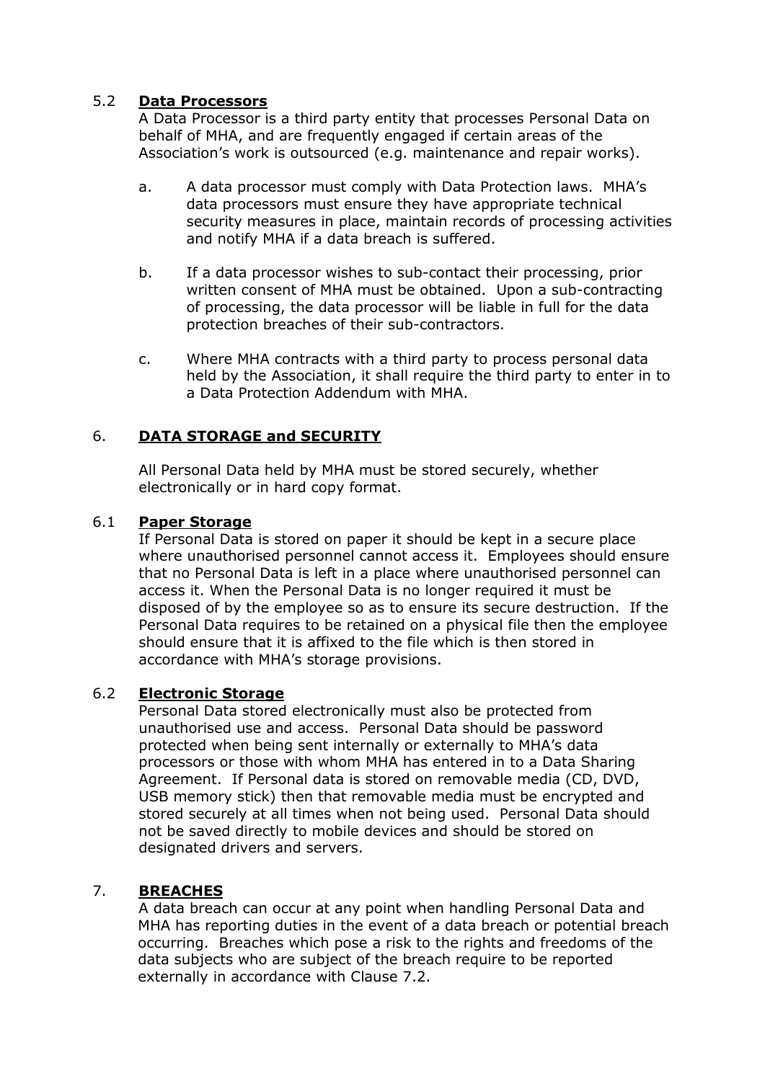## 5.2 **Data Processors**

A Data Processor is a third party entity that processes Personal Data on behalf of MHA, and are frequently engaged if certain areas of the Association's work is outsourced (e.g. maintenance and repair works).

- a. A data processor must comply with Data Protection laws. MHA's data processors must ensure they have appropriate technical security measures in place, maintain records of processing activities and notify MHA if a data breach is suffered.
- b. If a data processor wishes to sub-contact their processing, prior written consent of MHA must be obtained. Upon a sub-contracting of processing, the data processor will be liable in full for the data protection breaches of their sub-contractors.
- c. Where MHA contracts with a third party to process personal data held by the Association, it shall require the third party to enter in to a Data Protection Addendum with MHA.

## 6. **DATA STORAGE and SECURITY**

All Personal Data held by MHA must be stored securely, whether electronically or in hard copy format.

#### 6.1 **Paper Storage**

If Personal Data is stored on paper it should be kept in a secure place where unauthorised personnel cannot access it. Employees should ensure that no Personal Data is left in a place where unauthorised personnel can access it. When the Personal Data is no longer required it must be disposed of by the employee so as to ensure its secure destruction. If the Personal Data requires to be retained on a physical file then the employee should ensure that it is affixed to the file which is then stored in accordance with MHA's storage provisions.

#### 6.2 **Electronic Storage**

Personal Data stored electronically must also be protected from unauthorised use and access. Personal Data should be password protected when being sent internally or externally to MHA's data processors or those with whom MHA has entered in to a Data Sharing Agreement. If Personal data is stored on removable media (CD, DVD, USB memory stick) then that removable media must be encrypted and stored securely at all times when not being used. Personal Data should not be saved directly to mobile devices and should be stored on designated drivers and servers.

#### 7. **BREACHES**

A data breach can occur at any point when handling Personal Data and MHA has reporting duties in the event of a data breach or potential breach occurring. Breaches which pose a risk to the rights and freedoms of the data subjects who are subject of the breach require to be reported externally in accordance with Clause 7.2.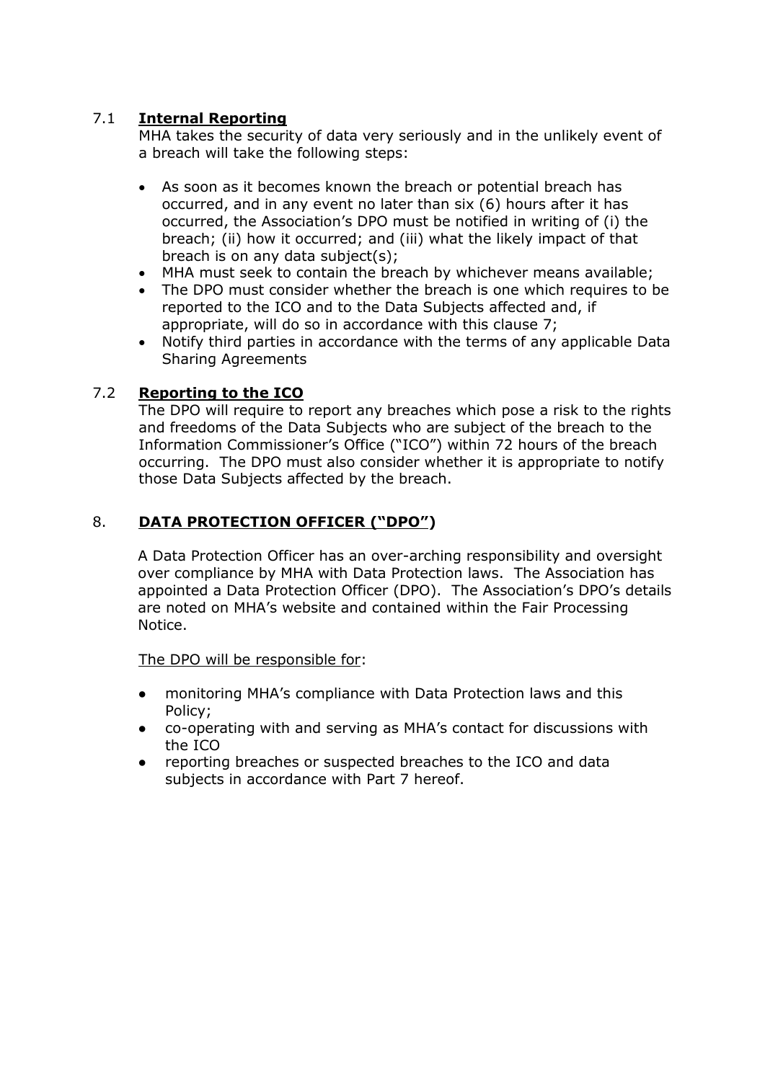## 7.1 **Internal Reporting**

MHA takes the security of data very seriously and in the unlikely event of a breach will take the following steps:

- As soon as it becomes known the breach or potential breach has occurred, and in any event no later than six (6) hours after it has occurred, the Association's DPO must be notified in writing of (i) the breach; (ii) how it occurred; and (iii) what the likely impact of that breach is on any data subject(s);
- MHA must seek to contain the breach by whichever means available;
- The DPO must consider whether the breach is one which requires to be reported to the ICO and to the Data Subjects affected and, if appropriate, will do so in accordance with this clause 7;
- Notify third parties in accordance with the terms of any applicable Data Sharing Agreements

## 7.2 **Reporting to the ICO**

The DPO will require to report any breaches which pose a risk to the rights and freedoms of the Data Subjects who are subject of the breach to the Information Commissioner's Office ("ICO") within 72 hours of the breach occurring. The DPO must also consider whether it is appropriate to notify those Data Subjects affected by the breach.

## 8. **DATA PROTECTION OFFICER ("DPO")**

A Data Protection Officer has an over-arching responsibility and oversight over compliance by MHA with Data Protection laws. The Association has appointed a Data Protection Officer (DPO). The Association's DPO's details are noted on MHA's website and contained within the Fair Processing Notice.

The DPO will be responsible for:

- monitoring MHA's compliance with Data Protection laws and this Policy;
- co-operating with and serving as MHA's contact for discussions with the ICO
- reporting breaches or suspected breaches to the ICO and data subjects in accordance with Part 7 hereof.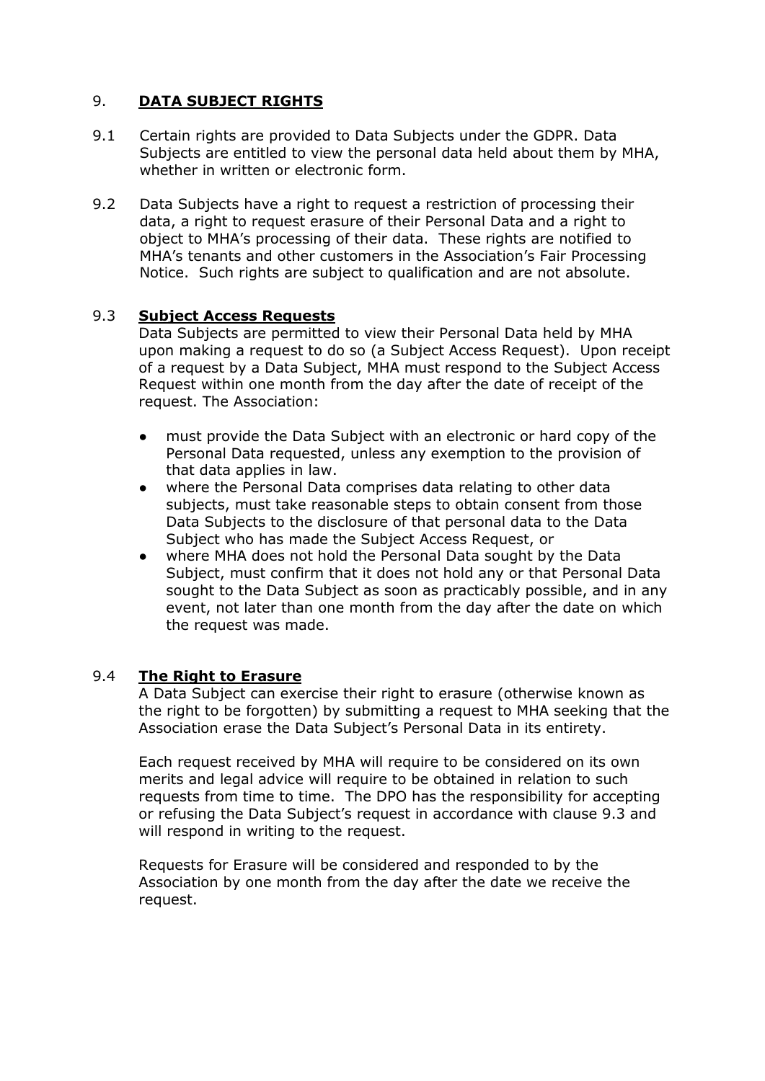## 9. **DATA SUBJECT RIGHTS**

- 9.1 Certain rights are provided to Data Subjects under the GDPR. Data Subjects are entitled to view the personal data held about them by MHA, whether in written or electronic form.
- 9.2 Data Subjects have a right to request a restriction of processing their data, a right to request erasure of their Personal Data and a right to object to MHA's processing of their data. These rights are notified to MHA's tenants and other customers in the Association's Fair Processing Notice. Such rights are subject to qualification and are not absolute.

#### 9.3 **Subject Access Requests**

Data Subjects are permitted to view their Personal Data held by MHA upon making a request to do so (a Subject Access Request). Upon receipt of a request by a Data Subject, MHA must respond to the Subject Access Request within one month from the day after the date of receipt of the request. The Association:

- must provide the Data Subject with an electronic or hard copy of the Personal Data requested, unless any exemption to the provision of that data applies in law.
- where the Personal Data comprises data relating to other data subjects, must take reasonable steps to obtain consent from those Data Subjects to the disclosure of that personal data to the Data Subject who has made the Subject Access Request, or
- where MHA does not hold the Personal Data sought by the Data Subject, must confirm that it does not hold any or that Personal Data sought to the Data Subject as soon as practicably possible, and in any event, not later than one month from the day after the date on which the request was made.

#### 9.4 **The Right to Erasure**

A Data Subject can exercise their right to erasure (otherwise known as the right to be forgotten) by submitting a request to MHA seeking that the Association erase the Data Subject's Personal Data in its entirety.

Each request received by MHA will require to be considered on its own merits and legal advice will require to be obtained in relation to such requests from time to time. The DPO has the responsibility for accepting or refusing the Data Subject's request in accordance with clause 9.3 and will respond in writing to the request.

Requests for Erasure will be considered and responded to by the Association by one month from the day after the date we receive the request.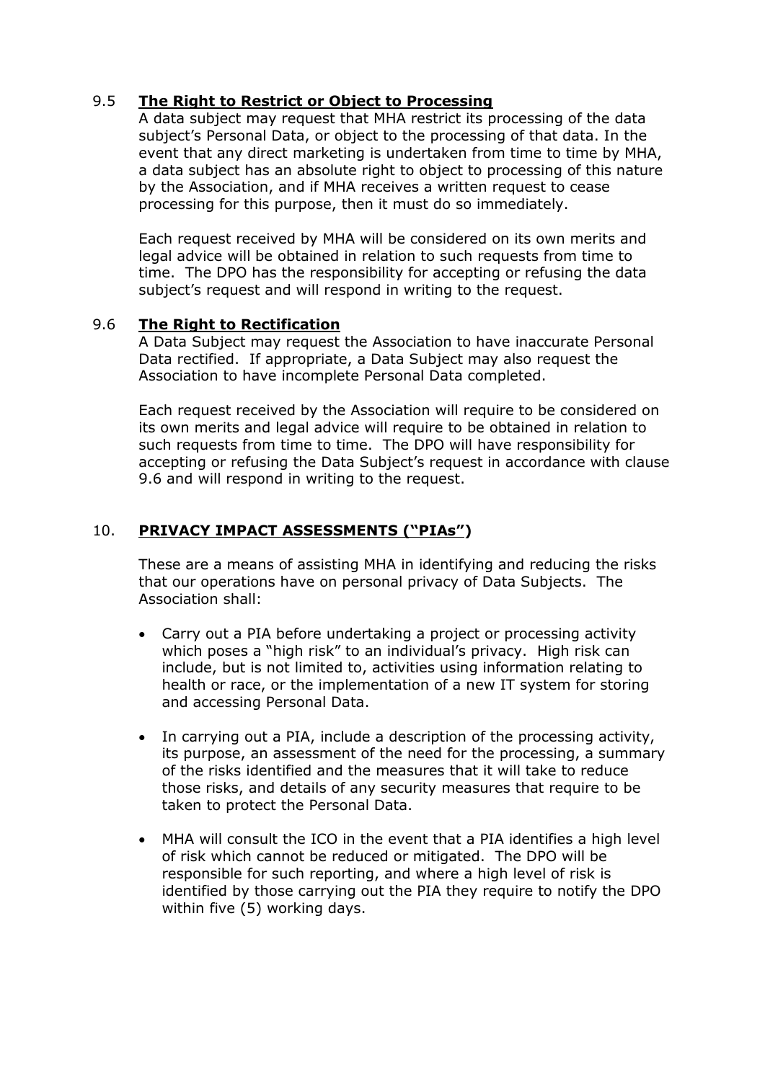## 9.5 **The Right to Restrict or Object to Processing**

A data subject may request that MHA restrict its processing of the data subject's Personal Data, or object to the processing of that data. In the event that any direct marketing is undertaken from time to time by MHA, a data subject has an absolute right to object to processing of this nature by the Association, and if MHA receives a written request to cease processing for this purpose, then it must do so immediately.

Each request received by MHA will be considered on its own merits and legal advice will be obtained in relation to such requests from time to time. The DPO has the responsibility for accepting or refusing the data subject's request and will respond in writing to the request.

#### 9.6 **The Right to Rectification**

A Data Subject may request the Association to have inaccurate Personal Data rectified. If appropriate, a Data Subject may also request the Association to have incomplete Personal Data completed.

Each request received by the Association will require to be considered on its own merits and legal advice will require to be obtained in relation to such requests from time to time. The DPO will have responsibility for accepting or refusing the Data Subject's request in accordance with clause 9.6 and will respond in writing to the request.

#### 10. **PRIVACY IMPACT ASSESSMENTS ("PIAs")**

These are a means of assisting MHA in identifying and reducing the risks that our operations have on personal privacy of Data Subjects. The Association shall:

- Carry out a PIA before undertaking a project or processing activity which poses a "high risk" to an individual's privacy. High risk can include, but is not limited to, activities using information relating to health or race, or the implementation of a new IT system for storing and accessing Personal Data.
- In carrying out a PIA, include a description of the processing activity, its purpose, an assessment of the need for the processing, a summary of the risks identified and the measures that it will take to reduce those risks, and details of any security measures that require to be taken to protect the Personal Data.
- MHA will consult the ICO in the event that a PIA identifies a high level of risk which cannot be reduced or mitigated. The DPO will be responsible for such reporting, and where a high level of risk is identified by those carrying out the PIA they require to notify the DPO within five (5) working days.